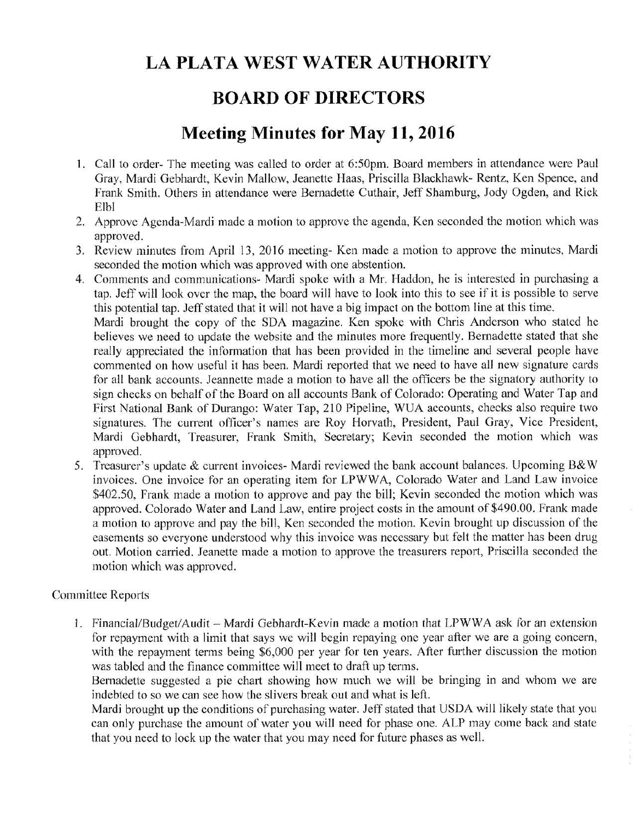# LA PLATA WEST WATER AUTHORITY

### BOARD OF DIRECTORS

## Meeting Minutes for May 11, 2016

- 1. Call to order- The meeting was called to order at 6:50pm. Board members in attendance were Paul Gray, Mardi Gebhardt, Kevin Mallow, Jeanette Haas, Priscilla Blackhawk- Rentz, Ken Spence, and Frank Smith. Others in attendance were Bernadette Cuthair, Jeff Shamburg, Jody Ogden, and Rick Elbl
- 2. Approve Agenda-Mardi made a motion to approve the agenda, Ken seconded the motion which was approved.
- 3. Review minutes from April 13, 2016 meeting- Ken made a motion to approve the minutes, Mardi seconded the motion which was approved with one abstention.
- 4. Comments and communications- Mardi spoke with a Mr. Haddon, he is interested in purchasing a tap. Jeff will look over the map, the board will have to look into this to see if it is possible to serve this potential tap. Jeff stated that it will not have a big impact on the bottom line at this time.

Mardi brought the copy of the SDA magazine. Ken spoke with Chris Anderson who stated he believes we need to update the website and the minutes more frequently. Bernadette stated that she really appreciated the information that has been provided in the timeline and several people have commented on how useful it has been. Mardi reported that we need to have all new signature cards for all bank accounts. Jeannette made a motion to have all the officers be the signatory authority to sign checks on behalf of the Board on all accounts Bank of Colorado: Operating and Water Tap and First National Bank of Durango: Water Tap, 210 Pipeline, WUA accounts, checks also require two signatures. The current officer's names are Roy Horvath, President, Paul Gray, Vice President, Mardi Gebhardt, Treasurer, Frank Smith, Secretary; Kevin seconded the motion which was approved.

5. Treasurer's update & current invoices- Mardi reviewed the bank account balances. Upcoming B&W invoices. One invoice for an operating item for LPWWA, Colorado Water and Land Law invoice \$402.50, Frank made a motion to approve and pay the bill; Kevin seconded the motion which was approved. Colorado Water and Land Law, entire project costs in the amount of \$490.00. Frank made a motion to approve and pay the bill, Ken seconded the motion. Kevin brought up discussion of the easements so everyone understood why this invoice was necessary but felt the matter has been drug out. Motion carried. Jeanette made a motion to approve the treasurers report, Priscilla seconded the motion which was approved.

#### Committee Reports

1. Financial/Budget/Audit – Mardi Gebhardt-Kevin made a motion that LPWWA ask for an extension for repayment with a limit that says we will begin repaying one year after we are a going concern, with the repayment terms being \$6,000 per year for ten years. After further discussion the motion was tabled and the finance committee will meet to draft up terms.

Bernadette suggested a pie chart showing how much we will be bringing in and whom we are indebted to so we can see how the slivers break out and what is left.

Mardi brought up the conditions of purchasing water. Jeff stated that USDA will likely state that you can only purchase the amount of water you will need for phase one. ALP may come back and state that you need to lock up the water that you may need for future phases as well.